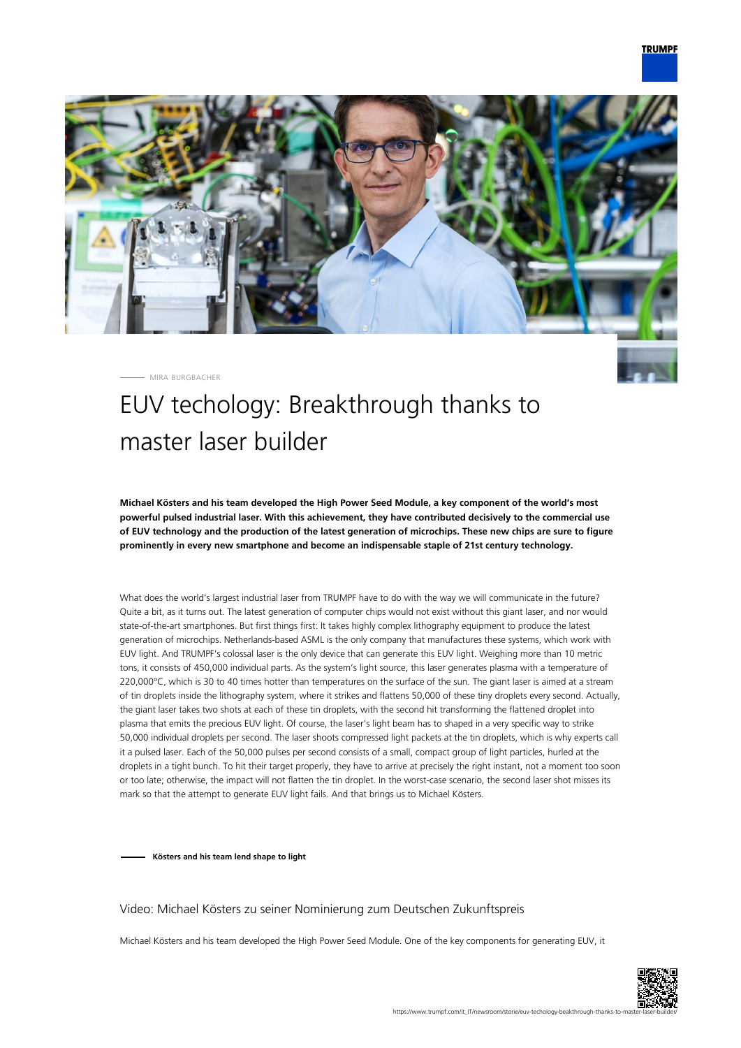

MIRA BURGBACHER

# EUV techology: Breakthrough thanks to master laser builder

**Michael Kösters and his team developed the High Power Seed Module, a key component of the world's most powerful pulsed industrial laser. With this achievement, they have contributed decisively to the commercial use of EUV technology and the production of the latest generation of microchips. These new chips are sure to figure prominently in every new smartphone and become an indispensable staple of 21st century technology.**

What does the world's largest industrial laser from TRUMPF have to do with the way we will communicate in the future? Quite a bit, as it turns out. The latest generation of computer chips would not exist without this giant laser, and nor would state-of-the-art smartphones. But first things first: It takes highly complex lithography equipment to produce the latest generation of microchips. Netherlands-based ASML is the only company that manufactures these systems, which work with EUV light. And TRUMPF's colossal laser is the only device that can generate this EUV light. Weighing more than 10 metric tons, it consists of 450,000 individual parts. As the system's light source, this laser generates plasma with a temperature of 220,000°C, which is 30 to 40 times hotter than temperatures on the surface of the sun. The giant laser is aimed at a stream of tin droplets inside the lithography system, where it strikes and flattens 50,000 of these tiny droplets every second. Actually, the giant laser takes two shots at each of these tin droplets, with the second hit transforming the flattened droplet into plasma that emits the precious EUV light. Of course, the laser's light beam has to shaped in a very specific way to strike 50,000 individual droplets per second. The laser shoots compressed light packets at the tin droplets, which is why experts call it a pulsed laser. Each of the 50,000 pulses per second consists of a small, compact group of light particles, hurled at the droplets in a tight bunch. To hit their target properly, they have to arrive at precisely the right instant, not a moment too soon or too late; otherwise, the impact will not flatten the tin droplet. In the worst-case scenario, the second laser shot misses its mark so that the attempt to generate EUV light fails. And that brings us to Michael Kösters.

**Kösters and his team lend shape to light**

#### Video: Michael Kösters zu seiner Nominierung zum Deutschen Zukunftspreis

Michael Kösters and his team developed the High Power Seed Module. One of the key components for generating EUV, it

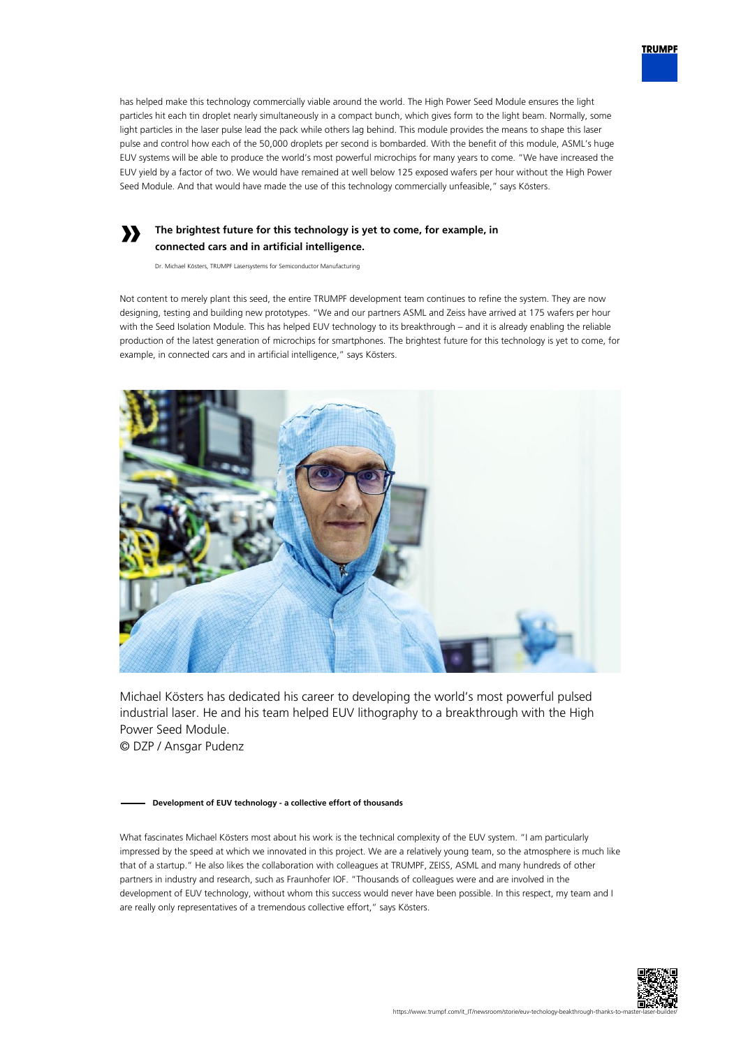

### **The brightest future for this technology is yet to come, for example, in connected cars and in artificial intelligence.**

Dr. Michael Kösters, TRUMPF Lasersystems for Semiconductor Manufacturing

**»**

Not content to merely plant this seed, the entire TRUMPF development team continues to refine the system. They are now designing, testing and building new prototypes. "We and our partners ASML and Zeiss have arrived at 175 wafers per hour with the Seed Isolation Module. This has helped EUV technology to its breakthrough – and it is already enabling the reliable production of the latest generation of microchips for smartphones. The brightest future for this technology is yet to come, for example, in connected cars and in artificial intelligence," says Kösters.



Michael Kösters has dedicated his career to developing the world's most powerful pulsed industrial laser. He and his team helped EUV lithography to a breakthrough with the High Power Seed Module. © DZP / Ansgar Pudenz

#### **Development of EUV technology - a collective effort of thousands**

What fascinates Michael Kösters most about his work is the technical complexity of the EUV system. "I am particularly impressed by the speed at which we innovated in this project. We are a relatively young team, so the atmosphere is much like that of a startup." He also likes the collaboration with colleagues at TRUMPF, ZEISS, ASML and many hundreds of other partners in industry and research, such as Fraunhofer IOF. "Thousands of colleagues were and are involved in the development of EUV technology, without whom this success would never have been possible. In this respect, my team and I are really only representatives of a tremendous collective effort," says Kösters.



**TRUMPF**